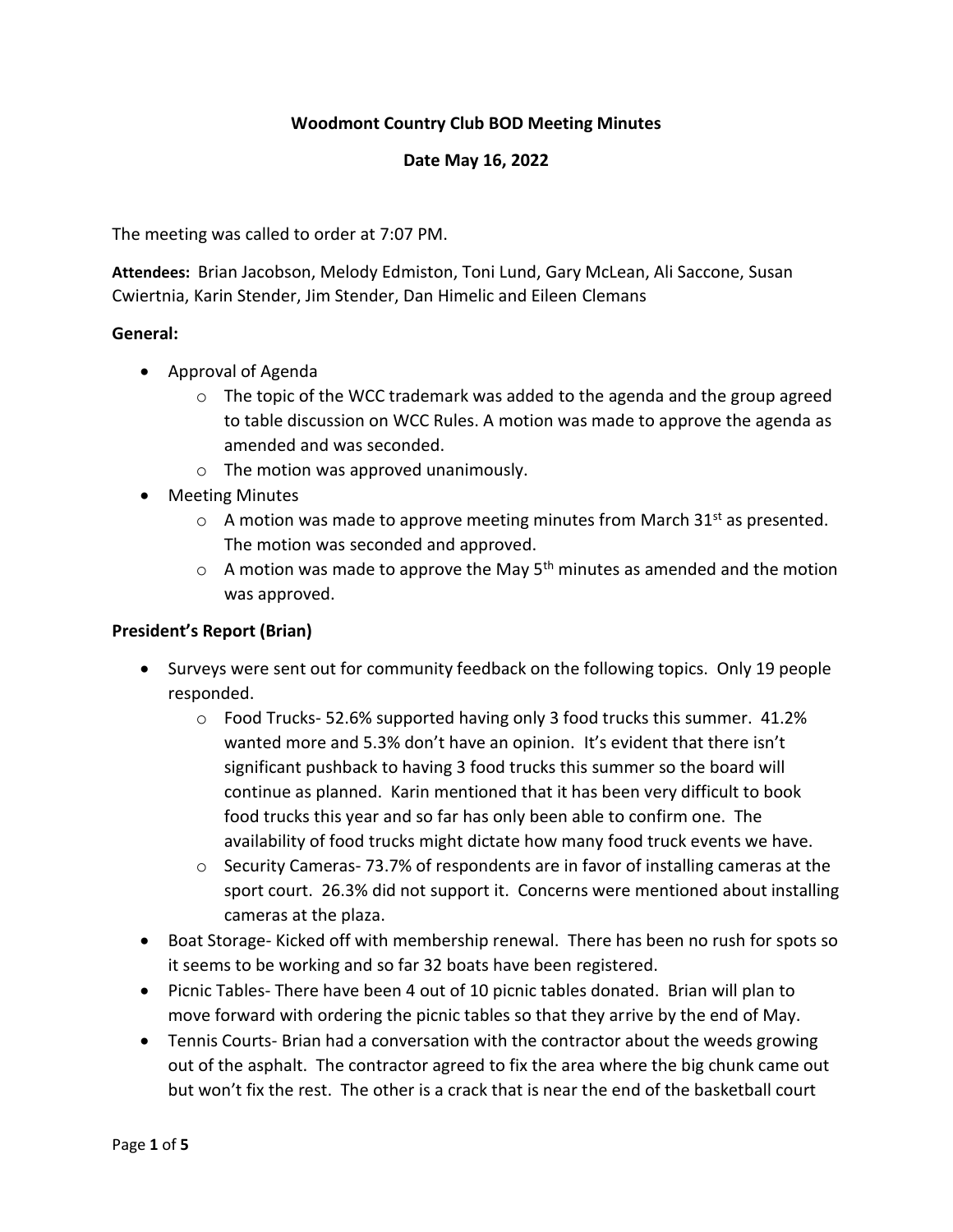# **Woodmont Country Club BOD Meeting Minutes**

#### **Date May 16, 2022**

The meeting was called to order at 7:07 PM.

**Attendees:** Brian Jacobson, Melody Edmiston, Toni Lund, Gary McLean, Ali Saccone, Susan Cwiertnia, Karin Stender, Jim Stender, Dan Himelic and Eileen Clemans

#### **General:**

- Approval of Agenda
	- $\circ$  The topic of the WCC trademark was added to the agenda and the group agreed to table discussion on WCC Rules. A motion was made to approve the agenda as amended and was seconded.
	- o The motion was approved unanimously.
- Meeting Minutes
	- $\circ$  A motion was made to approve meeting minutes from March 31<sup>st</sup> as presented. The motion was seconded and approved.
	- $\circ$  A motion was made to approve the May 5<sup>th</sup> minutes as amended and the motion was approved.

### **President's Report (Brian)**

- Surveys were sent out for community feedback on the following topics. Only 19 people responded.
	- o Food Trucks- 52.6% supported having only 3 food trucks this summer. 41.2% wanted more and 5.3% don't have an opinion. It's evident that there isn't significant pushback to having 3 food trucks this summer so the board will continue as planned. Karin mentioned that it has been very difficult to book food trucks this year and so far has only been able to confirm one. The availability of food trucks might dictate how many food truck events we have.
	- $\circ$  Security Cameras- 73.7% of respondents are in favor of installing cameras at the sport court. 26.3% did not support it. Concerns were mentioned about installing cameras at the plaza.
- Boat Storage- Kicked off with membership renewal. There has been no rush for spots so it seems to be working and so far 32 boats have been registered.
- Picnic Tables- There have been 4 out of 10 picnic tables donated. Brian will plan to move forward with ordering the picnic tables so that they arrive by the end of May.
- Tennis Courts- Brian had a conversation with the contractor about the weeds growing out of the asphalt. The contractor agreed to fix the area where the big chunk came out but won't fix the rest. The other is a crack that is near the end of the basketball court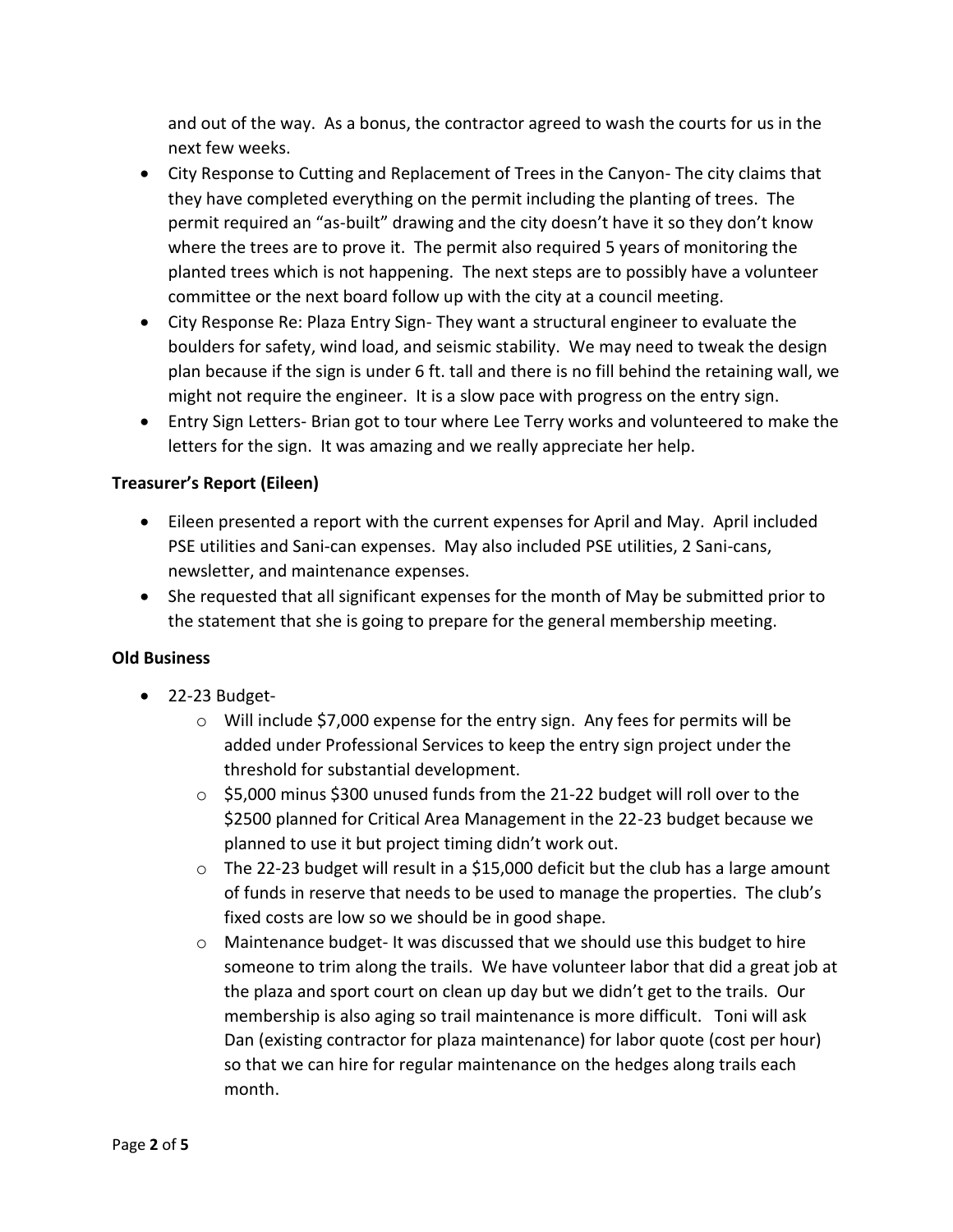and out of the way. As a bonus, the contractor agreed to wash the courts for us in the next few weeks.

- City Response to Cutting and Replacement of Trees in the Canyon- The city claims that they have completed everything on the permit including the planting of trees. The permit required an "as-built" drawing and the city doesn't have it so they don't know where the trees are to prove it. The permit also required 5 years of monitoring the planted trees which is not happening. The next steps are to possibly have a volunteer committee or the next board follow up with the city at a council meeting.
- City Response Re: Plaza Entry Sign- They want a structural engineer to evaluate the boulders for safety, wind load, and seismic stability. We may need to tweak the design plan because if the sign is under 6 ft. tall and there is no fill behind the retaining wall, we might not require the engineer. It is a slow pace with progress on the entry sign.
- Entry Sign Letters- Brian got to tour where Lee Terry works and volunteered to make the letters for the sign. It was amazing and we really appreciate her help.

## **Treasurer's Report (Eileen)**

- Eileen presented a report with the current expenses for April and May. April included PSE utilities and Sani-can expenses. May also included PSE utilities, 2 Sani-cans, newsletter, and maintenance expenses.
- She requested that all significant expenses for the month of May be submitted prior to the statement that she is going to prepare for the general membership meeting.

### **Old Business**

- $\bullet$  22-23 Budget-
	- $\circ$  Will include \$7,000 expense for the entry sign. Any fees for permits will be added under Professional Services to keep the entry sign project under the threshold for substantial development.
	- o \$5,000 minus \$300 unused funds from the 21-22 budget will roll over to the \$2500 planned for Critical Area Management in the 22-23 budget because we planned to use it but project timing didn't work out.
	- o The 22-23 budget will result in a \$15,000 deficit but the club has a large amount of funds in reserve that needs to be used to manage the properties. The club's fixed costs are low so we should be in good shape.
	- o Maintenance budget- It was discussed that we should use this budget to hire someone to trim along the trails. We have volunteer labor that did a great job at the plaza and sport court on clean up day but we didn't get to the trails. Our membership is also aging so trail maintenance is more difficult. Toni will ask Dan (existing contractor for plaza maintenance) for labor quote (cost per hour) so that we can hire for regular maintenance on the hedges along trails each month.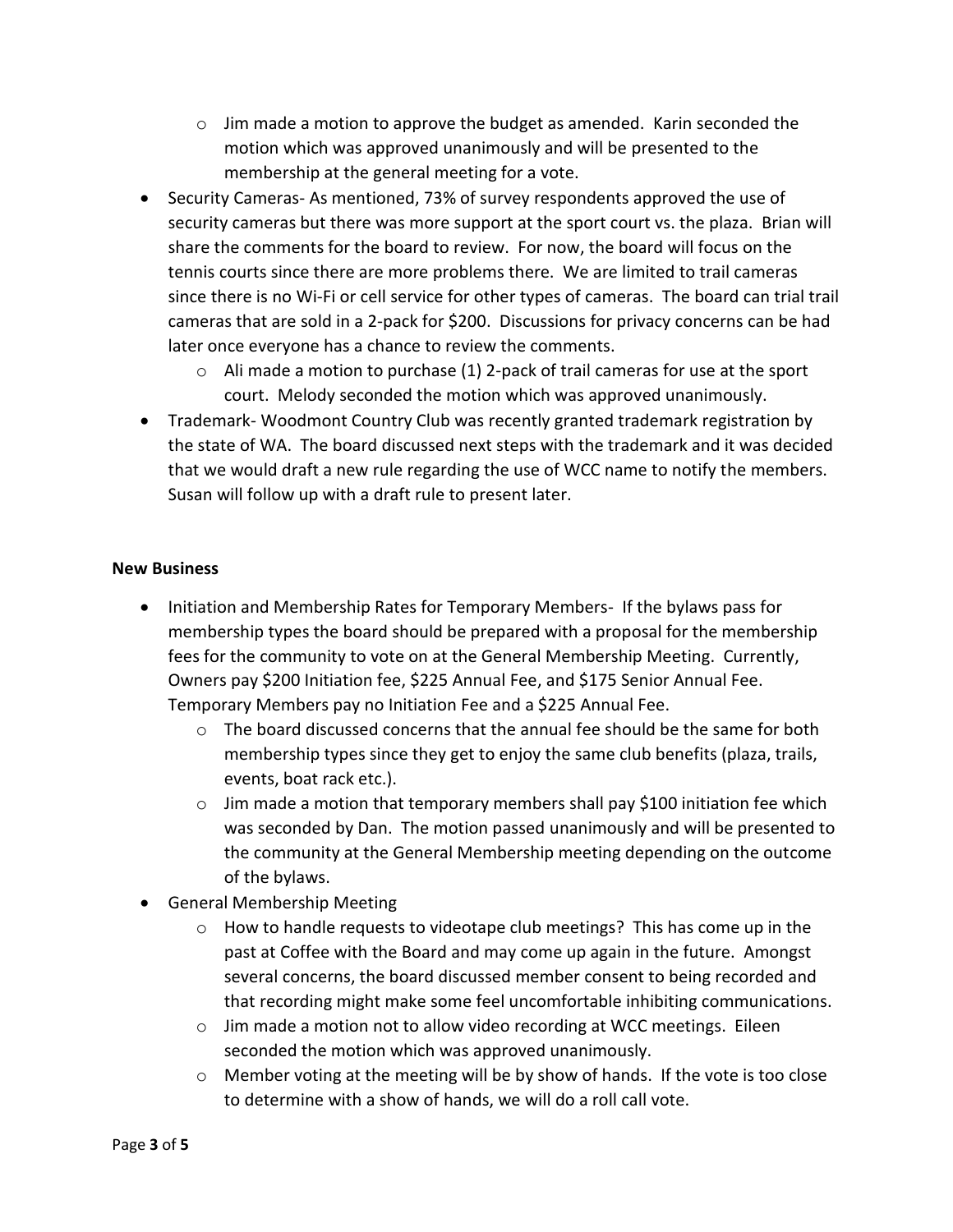- $\circ$  Jim made a motion to approve the budget as amended. Karin seconded the motion which was approved unanimously and will be presented to the membership at the general meeting for a vote.
- Security Cameras- As mentioned, 73% of survey respondents approved the use of security cameras but there was more support at the sport court vs. the plaza. Brian will share the comments for the board to review. For now, the board will focus on the tennis courts since there are more problems there. We are limited to trail cameras since there is no Wi-Fi or cell service for other types of cameras. The board can trial trail cameras that are sold in a 2-pack for \$200. Discussions for privacy concerns can be had later once everyone has a chance to review the comments.
	- $\circ$  Ali made a motion to purchase (1) 2-pack of trail cameras for use at the sport court. Melody seconded the motion which was approved unanimously.
- Trademark- Woodmont Country Club was recently granted trademark registration by the state of WA. The board discussed next steps with the trademark and it was decided that we would draft a new rule regarding the use of WCC name to notify the members. Susan will follow up with a draft rule to present later.

## **New Business**

- Initiation and Membership Rates for Temporary Members- If the bylaws pass for membership types the board should be prepared with a proposal for the membership fees for the community to vote on at the General Membership Meeting. Currently, Owners pay \$200 Initiation fee, \$225 Annual Fee, and \$175 Senior Annual Fee. Temporary Members pay no Initiation Fee and a \$225 Annual Fee.
	- $\circ$  The board discussed concerns that the annual fee should be the same for both membership types since they get to enjoy the same club benefits (plaza, trails, events, boat rack etc.).
	- o Jim made a motion that temporary members shall pay \$100 initiation fee which was seconded by Dan. The motion passed unanimously and will be presented to the community at the General Membership meeting depending on the outcome of the bylaws.
- **•** General Membership Meeting
	- $\circ$  How to handle requests to videotape club meetings? This has come up in the past at Coffee with the Board and may come up again in the future. Amongst several concerns, the board discussed member consent to being recorded and that recording might make some feel uncomfortable inhibiting communications.
	- o Jim made a motion not to allow video recording at WCC meetings. Eileen seconded the motion which was approved unanimously.
	- $\circ$  Member voting at the meeting will be by show of hands. If the vote is too close to determine with a show of hands, we will do a roll call vote.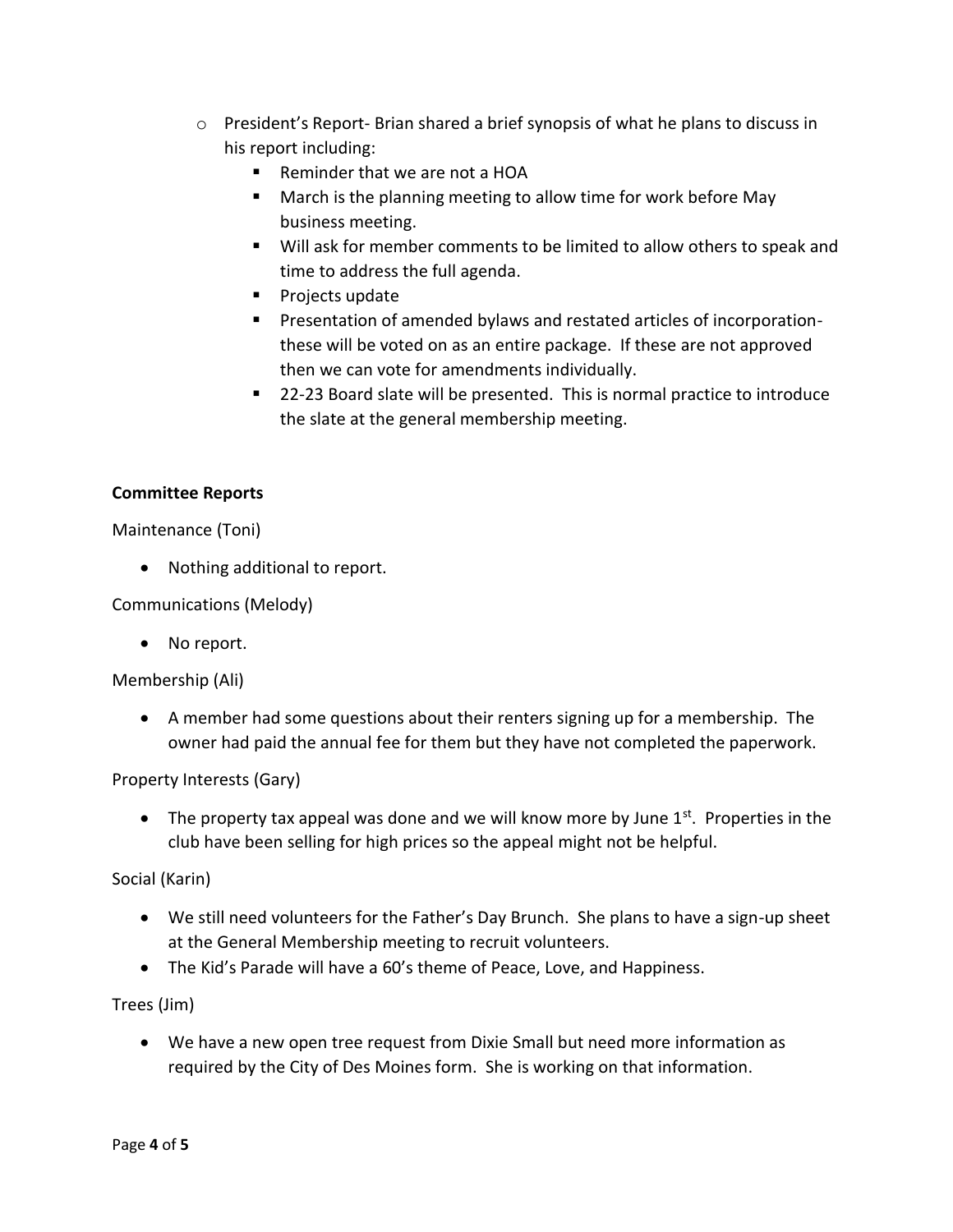- $\circ$  President's Report-Brian shared a brief synopsis of what he plans to discuss in his report including:
	- Reminder that we are not a HOA
	- **March is the planning meeting to allow time for work before May** business meeting.
	- Will ask for member comments to be limited to allow others to speak and time to address the full agenda.
	- **Projects update**
	- Presentation of amended bylaws and restated articles of incorporationthese will be voted on as an entire package. If these are not approved then we can vote for amendments individually.
	- 22-23 Board slate will be presented. This is normal practice to introduce the slate at the general membership meeting.

## **Committee Reports**

Maintenance (Toni)

• Nothing additional to report.

Communications (Melody)

• No report.

Membership (Ali)

 A member had some questions about their renters signing up for a membership. The owner had paid the annual fee for them but they have not completed the paperwork.

Property Interests (Gary)

• The property tax appeal was done and we will know more by June  $1^{st}$ . Properties in the club have been selling for high prices so the appeal might not be helpful.

Social (Karin)

- We still need volunteers for the Father's Day Brunch. She plans to have a sign-up sheet at the General Membership meeting to recruit volunteers.
- The Kid's Parade will have a 60's theme of Peace, Love, and Happiness.

Trees (Jim)

 We have a new open tree request from Dixie Small but need more information as required by the City of Des Moines form. She is working on that information.